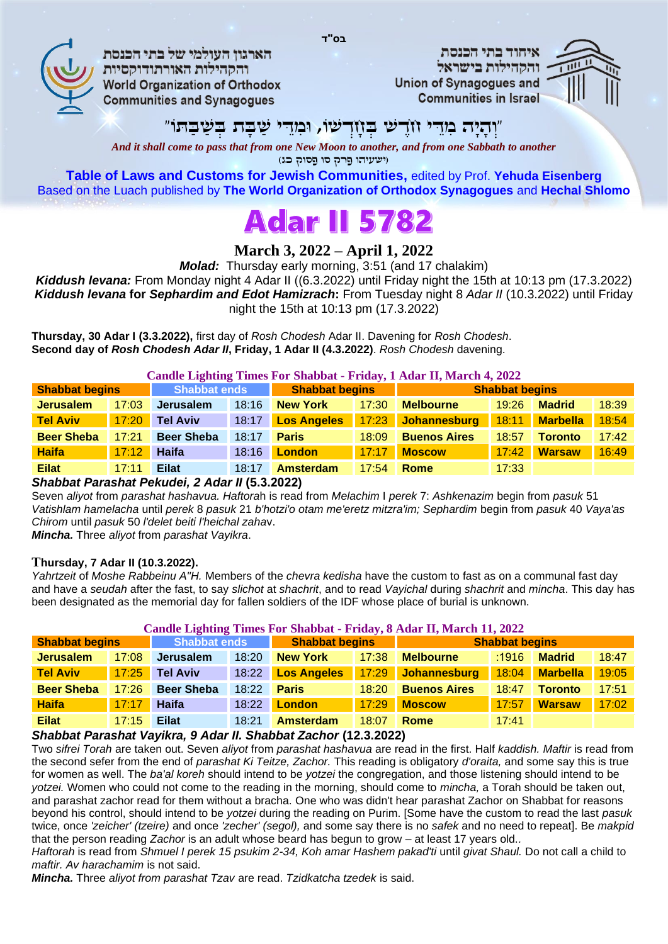

הארגוו העולמי של בתי הכנסת והקהילות האורתודוקסיות **World Organization of Orthodox Communities and Synagogues** 

איחוד בתי הכנסת והקהילות בישראל **Union of Synagogues and Communities in Israel** 



## "ְו ָהָיה ִמֵּּדי ֹחֶד ׁש ְּב ָחְד ׁשֹו, ּו ִמֵּּדי ַׁׁש ָּבת ְּב ַׁׁש ַּׁב ּתֹו"

**בס"ד**

*And it shall come to pass that from one New Moon to another, and from one Sabbath to another* )ישעיהו פרק סו פסוק כג(

**Table of Laws and Customs for Jewish Communities,** edited by Prof. **Yehuda Eisenberg** Based on the Luach published by **The World Organization of Orthodox Synagogues** and **Hechal Shlomo**

# **Adar II 5782**

## **March 3, 2022 – April 1, 2022**

*Molad:* Thursday early morning, 3:51 (and 17 chalakim)

*Kiddush levana:* From Monday night 4 Adar II )(6.3.2022) until Friday night the 15th at 10:13 pm (17.3.2022) *Kiddush levana* **for** *Sephardim and Edot Hamizrach***:** From Tuesday night 8 *Adar II* (10.3.2022) until Friday night the 15th at 10:13 pm (17.3.2022)

**Thursday, 30 Adar I (3.3.2022),** first day of *Rosh Chodesh* Adar II. Davening for *Rosh Chodesh*. **Second day of** *Rosh Chodesh Adar II***, Friday, 1 Adar II (4.3.2022)**. *Rosh Chodesh* davening.

**Candle Lighting Times For Shabbat - Friday, 1 Adar II, March 4, 2022**

| <b>Shabbat begins</b> |       | <b>Shabbat ends</b> |       | <b>Shabbat begins</b> |       | <b>Shabbat begins</b> |       |                 |       |
|-----------------------|-------|---------------------|-------|-----------------------|-------|-----------------------|-------|-----------------|-------|
| <b>Jerusalem</b>      | 17:03 | <b>Jerusalem</b>    | 18:16 | <b>New York</b>       | 17:30 | <b>Melbourne</b>      | 19:26 | <b>Madrid</b>   | 18:39 |
| <b>Tel Aviv</b>       | 17:20 | <b>Tel Aviv</b>     | 18:17 | <b>Los Angeles</b>    | 17:23 | Johannesburg          | 18:11 | <b>Marbella</b> | 18:54 |
| <b>Beer Sheba</b>     | 17:21 | <b>Beer Sheba</b>   | 18:17 | <b>Paris</b>          | 18:09 | <b>Buenos Aires</b>   | 18:57 | <b>Toronto</b>  | 17:42 |
| <b>Haifa</b>          | 17:12 | Haifa               | 18:16 | <b>London</b>         | 17:17 | <b>Moscow</b>         | 17:42 | <b>Warsaw</b>   | 16:49 |
| <b>Eilat</b>          | 17:11 | <b>Eilat</b>        | 18:17 | <b>Amsterdam</b>      | 17:54 | Rome                  | 17:33 |                 |       |

#### *Shabbat Parashat Pekudei, 2 Adar II* **(5.3.2022)**

Seven *aliyot* from *parashat hashavua. Haftora*h is read from *Melachim* I *perek* 7: *Ashkenazim* begin from *pasuk* 51 *Vatishlam hamelacha* until *perek* 8 *pasuk* 21 *b'hotzi'o otam me'eretz mitzra'im; Sephardim* begin from *pasuk* 40 *Vaya'as Chirom* until *pasuk* 50 *l'delet beiti l'heichal zaha*v.

*Mincha.* Three *aliyot* from *parashat Vayikra*.

#### **Thursday, 7 Adar II (10.3.2022).**

*Yahrtzeit* of *Moshe Rabbeinu A"H.* Members of the *chevra kedisha* have the custom to fast as on a communal fast day and have a *seudah* after the fast, to say *slichot* at *shachrit*, and to read *Vayichal* during *shachrit* and *mincha*. This day has been designated as the memorial day for fallen soldiers of the IDF whose place of burial is unknown.

| Candle Lighting Times For Shabbat - Friday, 8 Adar II, March 11, 2022 |       |                     |       |                       |       |                       |       |                 |       |  |
|-----------------------------------------------------------------------|-------|---------------------|-------|-----------------------|-------|-----------------------|-------|-----------------|-------|--|
| <b>Shabbat begins</b>                                                 |       | <b>Shabbat ends</b> |       | <b>Shabbat begins</b> |       | <b>Shabbat begins</b> |       |                 |       |  |
| <b>Jerusalem</b>                                                      | 17:08 | Jerusalem           | 18:20 | <b>New York</b>       | 17:38 | <b>Melbourne</b>      | :1916 | <b>Madrid</b>   | 18:47 |  |
| <b>Tel Aviv</b>                                                       | 17:25 | <b>Tel Aviv</b>     | 18:22 | <b>Los Angeles</b>    | 17:29 | Johannesburg          | 18:04 | <b>Marbella</b> | 19:05 |  |
| <b>Beer Sheba</b>                                                     | 17:26 | <b>Beer Sheba</b>   | 18:22 | <b>Paris</b>          | 18:20 | <b>Buenos Aires</b>   | 18:47 | <b>Toronto</b>  | 17:51 |  |
| <b>Haifa</b>                                                          | 17:17 | Haifa               | 18:22 | <b>London</b>         | 17:29 | <b>Moscow</b>         | 17:57 | <b>Warsaw</b>   | 17:02 |  |
| <b>Eilat</b>                                                          | 17:15 | <b>Eilat</b>        | 18:21 | <b>Amsterdam</b>      | 18:07 | Rome                  | 17:41 |                 |       |  |

#### *Shabbat Parashat Vayikra, 9 Adar II. Shabbat Zachor* **(12.3.2022)**

Two *sifrei Torah* are taken out. Seven *aliyot* from *parashat hashavua* are read in the first. Half *kaddish. Maftir* is read from the second sefer from the end of *parashat Ki Teitze, Zachor.* This reading is obligatory *d'oraita,* and some say this is true for women as well. The *ba'al koreh* should intend to be *yotzei* the congregation, and those listening should intend to be *yotzei.* Women who could not come to the reading in the morning, should come to *mincha,* a Torah should be taken out, and parashat zachor read for them without a bracha. One who was didn't hear parashat Zachor on Shabbat for reasons beyond his control, should intend to be *yotzei* during the reading on Purim. [Some have the custom to read the last *pasuk*  twice, once *'zeicher' (tzeire)* and once *'zecher' (segol),* and some say there is no *safek* and no need to repeat]. Be *makpid*  that the person reading *Zachor* is an adult whose beard has begun to grow – at least 17 years old. *.*

*Haftorah* is read from *Shmuel I perek 15 psukim 2-34, Koh amar Hashem pakad'ti until givat Shaul. Do not call a child to maftir. Av harachamim* is not said.

*Mincha.* Three *aliyot from parashat Tzav* are read. *Tzidkatcha tzedek* is said.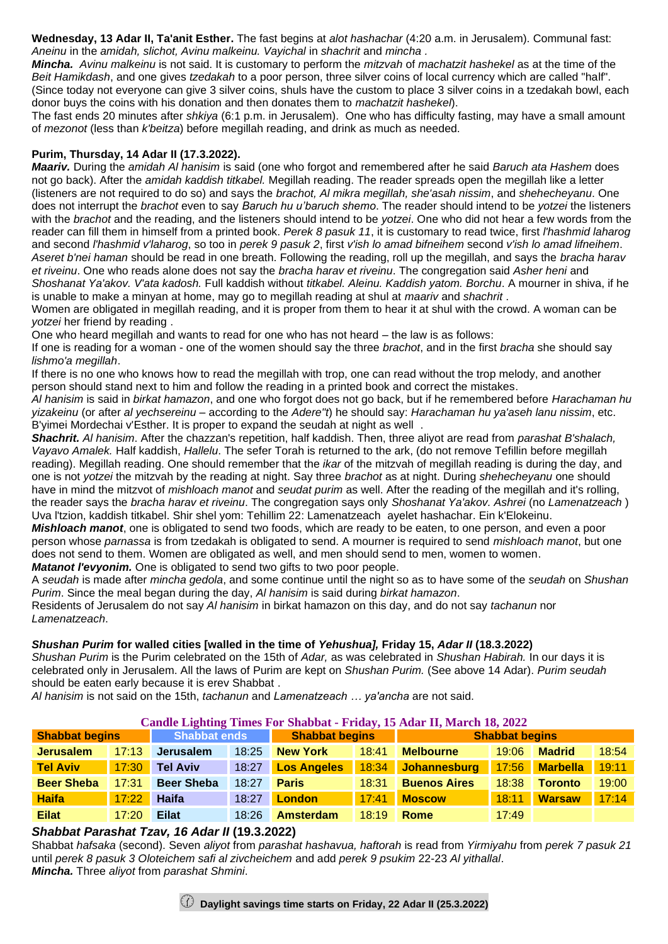**Wednesday, 13 Adar II, Ta'anit Esther.** The fast begins at *alot hashachar* (4:20 a.m. in Jerusalem). Communal fast: *Aneinu* in the *amidah, slichot, Avinu malkeinu. Vayichal* in *shachrit* and *mincha .*

*Mincha. Avinu malkeinu* is not said. It is customary to perform the *mitzvah* of *machatzit hashekel* as at the time of the *Beit Hamikdash*, and one gives *tzedakah* to a poor person, three silver coins of local currency which are called "half". (Since today not everyone can give 3 silver coins, shuls have the custom to place 3 silver coins in a tzedakah bowl, each donor buys the coins with his donation and then donates them to *machatzit hashekel*).

The fast ends 20 minutes after *shkiya* (6:1 p.m. in Jerusalem). One who has difficulty fasting, may have a small amount of *mezonot* (less than *k'beitza*) before megillah reading, and drink as much as needed.

#### **Purim, Thursday, 14 Adar II (17.3.2022).**

*Maariv.* During the *amidah Al hanisim* is said (one who forgot and remembered after he said *Baruch ata Hashem* does not go back). After the *amidah kaddish titkabel.* Megillah reading. The reader spreads open the megillah like a letter (listeners are not required to do so) and says the *brachot, Al mikra megillah, she'asah nissim*, and *shehecheyanu*. One does not interrupt the *brachot* even to say *Baruch hu u'baruch shemo*. The reader should intend to be *yotzei* the listeners with the *brachot* and the reading, and the listeners should intend to be *yotzei*. One who did not hear a few words from the reader can fill them in himself from a printed book. *Perek 8 pasuk 11*, it is customary to read twice, first *l'hashmid laharog* and second *l'hashmid v'laharog*, so too in *perek 9 pasuk 2*, first *v'ish lo amad bifneihem* second *v'ish lo amad lifneihem*. *Aseret b'nei haman* should be read in one breath. Following the reading, roll up the megillah, and says the *bracha harav et riveinu*. One who reads alone does not say the *bracha harav et riveinu*. The congregation said *Asher heni* and *Shoshanat Ya'akov. V'ata kadosh.* Full kaddish without *titkabel. Aleinu. Kaddish yatom. Borchu*. A mourner in shiva, if he

is unable to make a minyan at home, may go to megillah reading at shul at *maariv* and *shachrit* . Women are obligated in megillah reading, and it is proper from them to hear it at shul with the crowd. A woman can be *yotzei* her friend by reading .

One who heard megillah and wants to read for one who has not heard – the law is as follows :

If one is reading for a woman - one of the women should say the three *brachot*, and in the first *bracha* she should say *lishmo'a megillah* .

If there is no one who knows how to read the megillah with trop, one can read without the trop melody, and another person should stand next to him and follow the reading in a printed book and correct the mistakes .

*Al hanisim* is said in *birkat hamazon*, and one who forgot does not go back, but if he remembered before *Harachaman hu yizakeinu* (or after *al yechsereinu* – according to the *Adere"t*) he should say: *Harachaman hu ya'aseh lanu nissim*, etc. B'yimei Mordechai v'Esther. It is proper to expand the seudah at night as well .

*Shachrit. Al hanisim*. After the chazzan's repetition, half kaddish. Then, three aliyot are read from *parashat B'shalach, Vayavo Amalek.* Half kaddish, *Hallelu*. The sefer Torah is returned to the ark, (do not remove Tefillin before megillah reading). Megillah reading. One should remember that the *ikar* of the mitzvah of megillah reading is during the day, and one is not *yotzei* the mitzvah by the reading at night. Say three *brachot* as at night. During *shehecheyanu* one should have in mind the mitzvot of *mishloach manot* and *seudat purim* as well. After the reading of the megillah and it's rolling, the reader says the *bracha harav et riveinu*. The congregation says only *Shoshanat Ya'akov. Ashrei* (no *Lamenatzeach* ) Uva l'tzion, kaddish titkabel. Shir shel yom: Tehillim 22: Lamenatzeach ayelet hashachar. Ein k'Elokeinu .

*Mishloach manot*, one is obligated to send two foods, which are ready to be eaten, to one person, and even a poor person whose *parnassa* is from tzedakah is obligated to send. A mourner is required to send *mishloach manot*, but one does not send to them. Women are obligated as well, and men should send to men, women to women. *Matanot l'evyonim.* One is obligated to send two gifts to two poor people.

A *seudah* is made after *mincha gedola*, and some continue until the night so as to have some of the *seudah* on *Shushan Purim*. Since the meal began during the day, *Al hanisim* is said during *birkat hamazon* .

Residents of Jerusalem do not say *Al hanisim* in birkat hamazon on this day, and do not say *tachanun* nor *Lamenatzeach*.

#### *Shushan Purim* **for walled cities [walled in the time of** *Yehushua],* **Friday 15,** *Adar II* **(18.3.2022)**

*Shushan Purim* is the Purim celebrated on the 15th of *Adar,* as was celebrated in *Shushan Habirah.* In our days it is celebrated only in Jerusalem. All the laws of Purim are kept on *Shushan Purim.* (See above 14 Adar). *Purim seudah*  should be eaten early because it is erev Shabbat .

*Al hanisim* is not said on the 15th, *tachanun* and *Lamenatzeach … ya'ancha* are not said.

#### **Candle Lighting Times For Shabbat - Friday, 15 Adar II, March 18, 2022**

| <b>Shabbat begins</b> |       | <b>Shabbat ends</b> |       | <b>Shabbat begins</b> |       | <b>Shabbat begins</b> |       |                 |       |  |
|-----------------------|-------|---------------------|-------|-----------------------|-------|-----------------------|-------|-----------------|-------|--|
| <b>Jerusalem</b>      | 17:13 | <b>Jerusalem</b>    | 18:25 | <b>New York</b>       | 18:41 | <b>Melbourne</b>      | 19:06 | <b>Madrid</b>   | 18:54 |  |
| <b>Tel Aviv</b>       | 17:30 | <b>Tel Aviv</b>     | 18:27 | <b>Los Angeles</b>    | 18:34 | Johannesburg          | 17:56 | <b>Marbella</b> | 19:11 |  |
| <b>Beer Sheba</b>     | 17:31 | <b>Beer Sheba</b>   | 18:27 | <b>Paris</b>          | 18:31 | <b>Buenos Aires</b>   | 18:38 | <b>Toronto</b>  | 19:00 |  |
| <b>Haifa</b>          | 17:22 | Haifa               | 18:27 | <b>London</b>         | 17:41 | <b>Moscow</b>         | 18:11 | <b>Warsaw</b>   | 17:14 |  |
| <b>Eilat</b>          | 17:20 | <b>Eilat</b>        | 18:26 | <b>Amsterdam</b>      | 18:19 | Rome                  | 17:49 |                 |       |  |

#### *Shabbat Parashat Tzav, 16 Adar II* **(19.3.2022)**

Shabbat *hafsaka* (second). Seven *aliyot* from *parashat hashavua, haftorah* is read from *Yirmiyahu* from *perek 7 pasuk 21* until *perek 8 pasuk 3 Oloteichem safi al zivcheichem* and add *perek 9 psukim* 22-23 *Al yithallal* . *Mincha.* Three *aliyot* from *parashat Shmini*.